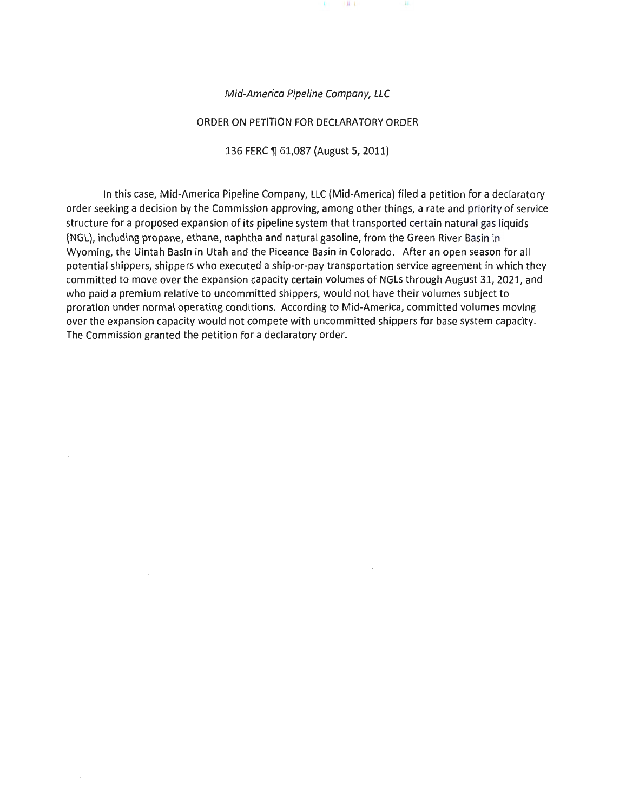

#### ORDER ON PETITION FOR DECLARATORY ORDER

136 FERC ¶ 61,087 (August 5, 2011)

In this case, Mid-America Pipeline Company, LLC (Mid-America) filed a petition for a declaratory order seeking a decision by the Commission approving, among other things, a rate and priority of service structure for a proposed expansion of its pipeline system that transported certain natural gas liquids (NGL), including propane, ethane, naphtha and natural gasoline, from the Green River Basin in Wyoming, the Uintah Basin in Utah and the Piceance Basin in Colorado. After an open season for all potential shippers, shippers who executed a ship-or-pay transportation service agreement in which they committed to move over the expansion capacity certain volumes of NGLs through August 31, 2021, and who paid a premium relative to uncommitted shippers, would not have their volumes subject to proration under normal operating conditions. According to Mid-America, committed volumes moving over the expansion capacity would not compete with uncommitted shippers for base system capacity. The Commission granted the petition for a declaratory order.

 $\mathcal{A}$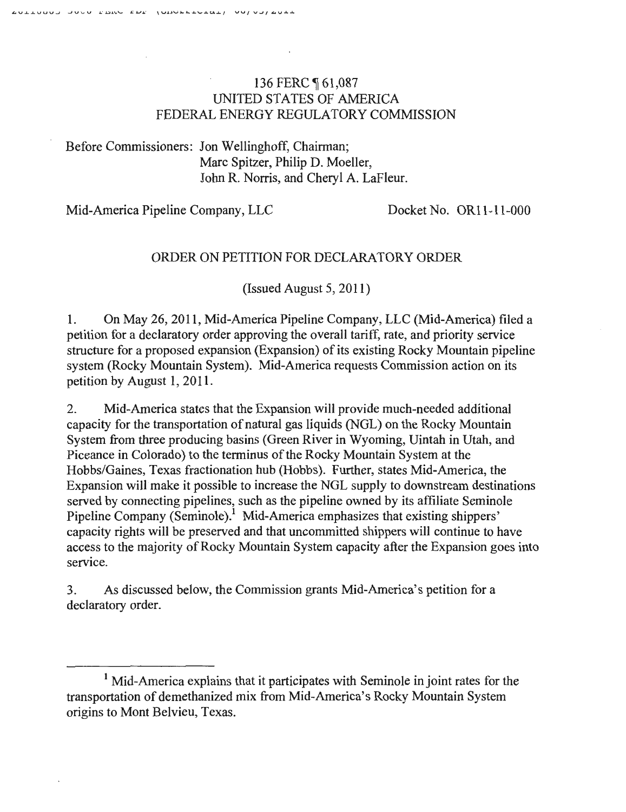# 136 FERC 161,087 UNITED STATES OF AMERICA FEDERAL ENERGY REGULATORY COMMISSION

Before Commissioners: Jon Wellinghoff, Chairman; Marc Spitzer, Philip D. Moeller, John R. Norris, and Cheryl A. LaFleur.

Mid-America Pipeline Company, LLC Docket No. OR11-11-000

# ORDER ON PETITION FOR DECLARATORY ORDER

(Issued August 5, 2011)

1. On May 26, 2011 , Mid-America Pipeline Company, LLC (Mid-America) filed a petition for a declaratory order approving the overall tariff, rate, and priority service structure for a proposed expansion (Expansion) of its existing Rocky Mountain pipeline system (Rocky Mountain System). Mid-America requests Commission action on its petition by August 1, 2011.

2. Mid-America states that the Expansion will provide much-needed additional capacity for the transportation of natural gas liquids (NGL) on the Rocky Mountain System from three producing basins (Green River in Wyoming, Uintah in Utah, and Piceance in Colorado) to the terminus of the Rocky Mountain System at the Hobbs/Gaines, Texas fractionation hub (Hobbs). Further, states Mid-America, the Expansion will make it possible to increase the NGL supply to downstream destinations served by connecting pipelines, such as the pipeline owned by its affiliate Seminole Pipeline Company (Seminole).<sup>1</sup> Mid-America emphasizes that existing shippers' capacity rights will be preserved and that uncommitted shippers will continue to have access to the majority of Rocky Mountain System capacity after the Expansion goes into service.

3. As discussed below, the Commission grants Mid-America's petition for a declaratory order.

<sup>&</sup>lt;sup>1</sup> Mid-America explains that it participates with Seminole in joint rates for the transportation of demethanized mix from Mid-America's Rocky Mountain System origins to Mont Belvieu, Texas.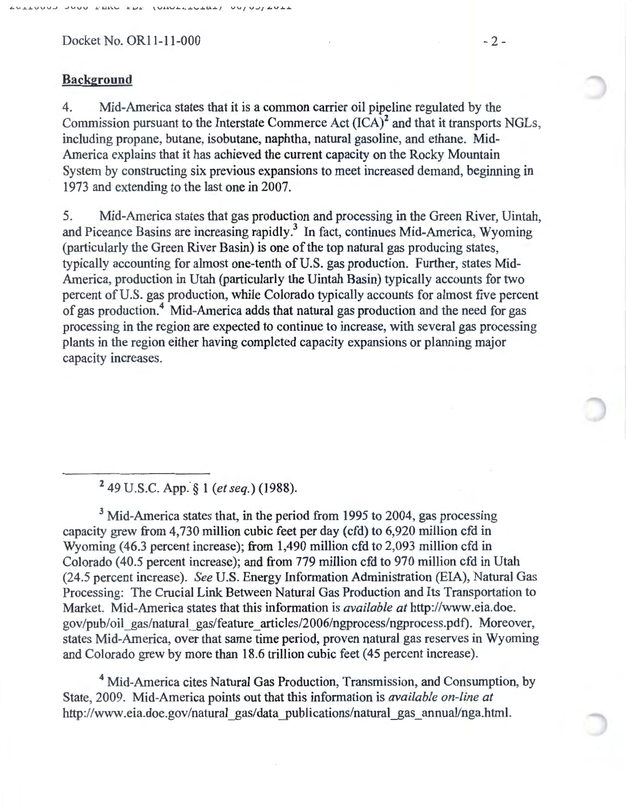Docket No. OR11-11-000 -2-

### **Background**

4. Mid-America states that it is a common carrier oil pipeline regulated by the Commission pursuant to the Interstate Commerce Act  $(ICA)^2$  and that it transports NGLs. including propane, butane, isobutane, naphtha, natural gasoline, and ethane. Mid-America explains that it has achieved the current capacity on the Rocky Mountain System by constructing six previous expansions to meet increased demand, beginning in 1973 and extending to the last one in 2007.

5. Mid-America states that gas production and processing in the Green River, Uintah, and Piceance Basins are increasing rapidly.<sup>3</sup> In fact, continues Mid-America, Wyoming (particularly the Green River Basin) is one of the top natural gas producing states, typically accounting for almost one-tenth of U.S. gas production. Further, states Mid-America, production in Utah (particularly the Uintah Basin) typically accounts for two percent of U.S. gas production, while Colorado typically accounts for almost five percent of gas production.4 Mid-America adds that natural gas production and the need for gas processing in the region are expected to continue to increase, with several gas processing plants in the region either having completed capacity expansions or planning major capacity increases.

2 . 49 U.S.C. App. *§* 1 *(et seq.)* (1988).

 $3$  Mid-America states that, in the period from 1995 to 2004, gas processing capacity grew from 4,730 million cubic feet per day (cfd) to 6,920 million cfd in Wyoming (46.3 percent increase); from 1,490 million cfd to 2,093 million cfd in Colorado (40.5 percent increase); and from 779 million cfd to 970 million cfd in Utah (24.5 percent increase). *See* U.S. Energy Information Administration (EIA), Natural Gas Processing: The Crucial Link Between Natural Gas Production and Its Transportation to Market. Mid-America states that this information is *available at* http://www.eia.doe. gov/pub/oil\_gas/natural\_gas/feature\_articles/2006/ngprocess/ngprocess.pdf). Moreover, states Mid-America, over that same time period, proven natural gas reserves in Wyoming and Colorado grew by more than 18.6 trillion cubic feet (45 percent increase).

4 Mid-America cites Natural Gas Production, Transmission, and Consumption, by State, 2009. Mid-America points out that this information is *available on-line at*  http://www.eia.doe.gov/natural\_gas/data\_publications/natural\_gas\_annual/nga.html.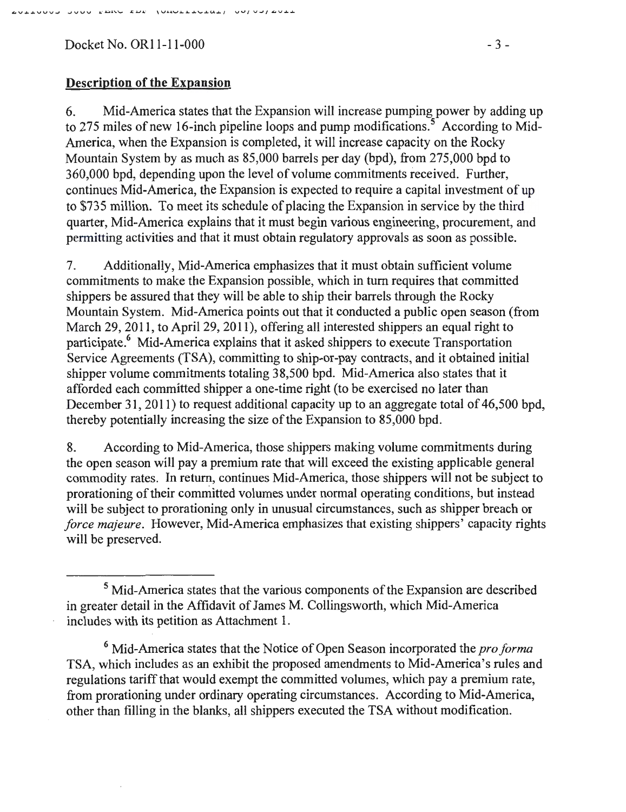$Dacket No. OR11-11-000$  - 3 -

### **Description of the Expansion**

6. Mid-America states that the Expansion will increase pumping power by adding up to 275 miles of new 16-inch pipeline loops and pump modifications.<sup>5</sup> According to Mid-America, when the Expansion is completed, it will increase capacity on the Rocky Mountain System by as much as 85,000 barrels per day (bpd), from 275,000 bpd to 360,000 bpd, depending upon the level of volume commitments received. Further, continues Mid-America, the Expansion is expected to require a capital investment of up to \$735 million. To meet its schedule of placing the Expansion in service by the third quarter, Mid-America explains that it must begin various engineering, procurement, and permitting activities and that it must obtain regulatory approvals as soon as possible.

7. Additionally, Mid-America emphasizes that it must obtain sufficient volume commitments to make the Expansion possible, which in tum requires that committed shippers be assured that they will be able to ship their barrels through the Rocky Mountain System. Mid-America points out that it conducted a public open season (from March 29, 2011, to April 29, 2011), offering all interested shippers an equal right to participate.6 Mid-America explains that it asked shippers to execute Transportation Service Agreements (TSA), committing to ship-or-pay contracts, and it obtained initial shipper volume commitments totaling 38,500 bpd. Mid-America also states that it afforded each committed shipper a one-time right (to be exercised no later than December 31, 2011) to request additional capacity up to an aggregate total of 46,500 bpd, thereby potentially increasing the size of the Expansion to 85,000 bpd.

8. According to Mid-America, those shippers making volume commitments during the open season will pay a premium rate that will exceed the existing applicable general commodity rates. In return, continues Mid-America, those shippers will not be subject to prorationing of their committed volumes under normal operating conditions, but instead will be subject to prorationing only in unusual circumstances, such as shipper breach or *force majeure.* However, Mid-America emphasizes that existing shippers' capacity rights will be preserved.

<sup>5</sup> Mid-America states that the various components of the Expansion are described in greater detail in the Affidavit of James M. Collingsworth, which Mid-America includes with its petition as Attachment 1.

<sup>6</sup> Mid-America states that the Notice of Open Season incorporated the *pro forma*  TSA, which includes as an exhibit the proposed amendments to Mid-America's rules and regulations tariff that would exempt the committed volumes, which pay a premium rate, from prorationing under ordinary operating circumstances. According to Mid-America, other than filling in the blanks, all shippers executed the TSA without modification.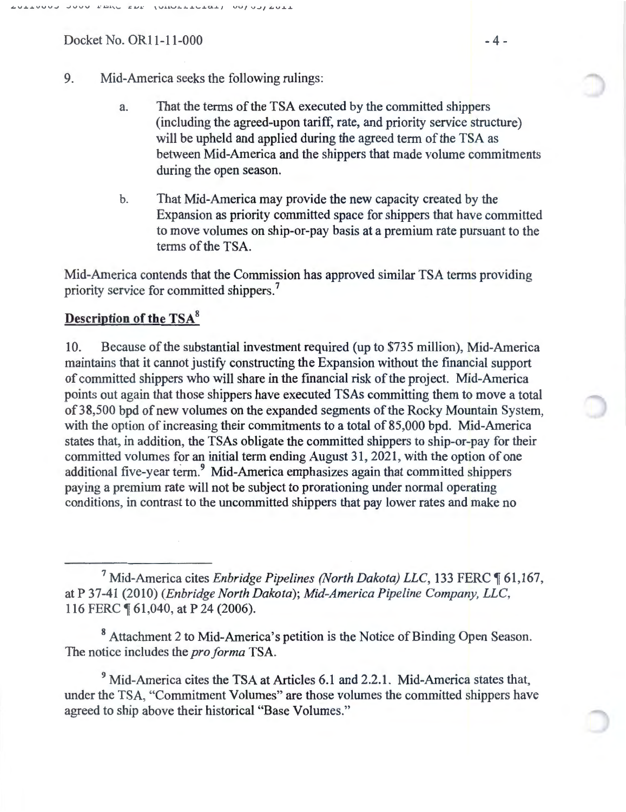Docket No. OR11-11-000 -4 -

- 9. Mid-America seeks the following rulings:
	- a. That the terms of the TSA executed by the committed shippers (including the agreed-upon tariff, rate, and priority service structure) will be upheld and applied during the agreed term of the TSA as between Mid-America and the shippers that made volume commitments during the open season.
	- b. That Mid-America may provide the new capacity created by the Expansion as priority committed space for shippers that have committed to move volumes on ship-or-pay basis at a premium rate pursuant to the terms of the TSA.

Mid-America contends that the Commission has approved similar TSA terms providing priority service for committed shippers.<sup>7</sup>

# Description of the TSA<sup>8</sup>

10. Because of the substantial investment required (up to \$735 million), Mid-America maintains that it cannot justify constructing the Expansion without the financial support of committed shippers who will share in the financial risk of the project. Mid-America points out again that those shippers have executed TSAs committing them to move a total of38,500 bpd of new volumes on the expanded segments of the Rocky Mountain System, with the option of increasing their commitments to a total of 85,000 bpd. Mid-America states that, in addition, the TSAs obligate the committed shippers to ship-or-pay for their committed volumes for an initial term ending August 31, 2021, with the option of one additional five-year term.<sup>9</sup> Mid-America emphasizes again that committed shippers paying a premium rate will not be subject to prorationing under normal operating conditions, in contrast to the uncommitted shippers that pay lower rates and make no

<sup>7</sup> Mid-America cites *Enbridge Pipelines (North Dakota) LLC*, 133 FERC  $\P$  61,167, at P 37-41 (2010) *(Enbridge North Dakota); Mid-America Pipeline Company, LLC,*  116 FERC  $\P$  61,040, at P 24 (2006).

<sup>8</sup> Attachment 2 to Mid-America's petition is the Notice of Binding Open Season. The notice includes the *pro forma* TSA.

<sup>9</sup> Mid-America cites the TSA at Articles 6.1 and 2.2.1. Mid-America states that, under the TSA, "Commitment Volumes" are those volumes the committed shippers have agreed to ship above their historical "Base Volumes."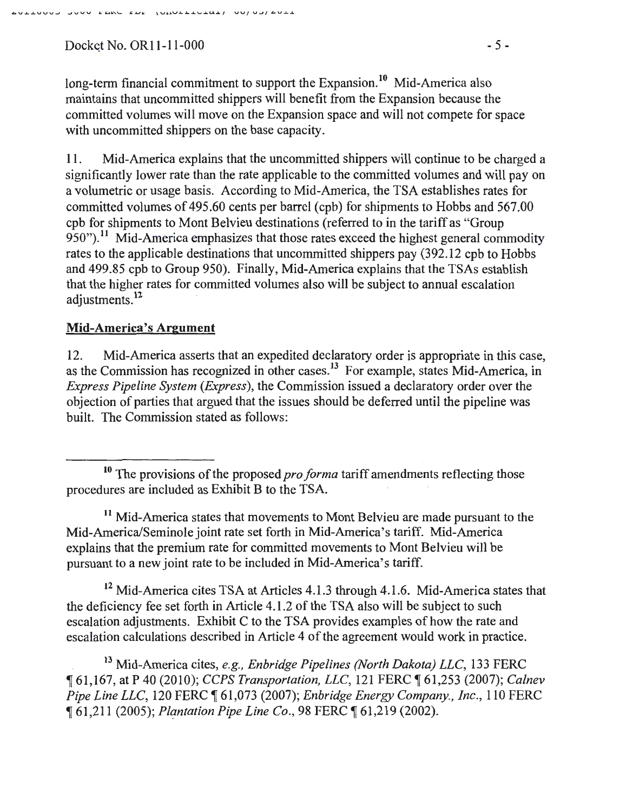$Docket No. OR11-11-000$  - 5-

long-term financial commitment to support the Expansion.<sup>10</sup> Mid-America also maintains that uncommitted shippers will benefit from the Expansion because the committed volumes will move on the Expansion space and will not compete for space with uncommitted shippers on the base capacity.

11. Mid-America explains that the uncommitted shippers will continue to be charged a significantly lower rate than the rate applicable to the committed volumes and will pay on a volumetric or usage basis. According to Mid-America, the TSA establishes rates for committed volumes of 495.60 cents per barrel (cpb) for shipments to Hobbs and 567.00 cpb for shipments to Mont Belvieu destinations (referred to in the tariff as "Group 950").<sup>11</sup> Mid-America emphasizes that those rates exceed the highest general commodity rates to the applicable destinations that uncommitted shippers pay (392.12 cpb to Hobbs and 499.85 cpb to Group 950). Finally, Mid-America explains that the TSAs establish that the higher rates for committed volumes also will be subject to annual escalation adjustments. <sup>12</sup>

# **Mid-America's Argument**

12. Mid-America asserts that an expedited declaratory order is appropriate in this case, as the Commission has recognized in other cases.<sup>13</sup> For example, states Mid-America, in *Express Pipeline System (Express),* the Commission issued a declaratory order over the objection of parties that argued that the issues should be deferred until the pipeline was built. The Commission stated as follows:

<sup>11</sup> Mid-America states that movements to Mont Belvieu are made pursuant to the Mid-America/Seminole joint rate set forth in Mid-America's tariff. Mid-America explains that the premium rate for committed movements to Mont Belvieu will be pursuant to a new joint rate to be included in Mid-America's tariff.

<sup>12</sup> Mid-America cites TSA at Articles 4.1.3 through 4.1.6. Mid-America states that the deficiency fee set forth in Article 4.1.2 of the TSA also will be subject to such escalation adjustments. Exhibit C to the TSA provides examples of how the rate and escalation calculations described in Article 4 of the agreement would work in practice.

13 Mid-America cites, *e.g., Enbridge Pipelines (North Dakota) LLC,* 133 FERC <sup>~</sup>61 ,167, at P 40 (2010); *CCPS Transportation, LLC,* 121 FERC ~ 61,253 (2007); *Calnev Pipe Line LLC, 120 FERC*  $\P$  61,073 (2007); *Enbridge Energy Company., Inc.,* 110 FERC ~ 61,211 (2005); *Plantation Pipe Line Co.,* 98 FERC ~ 61,219 (2002).

<sup>&</sup>lt;sup>10</sup> The provisions of the proposed *pro forma* tariff amendments reflecting those procedures are included as Exhibit B to the TSA.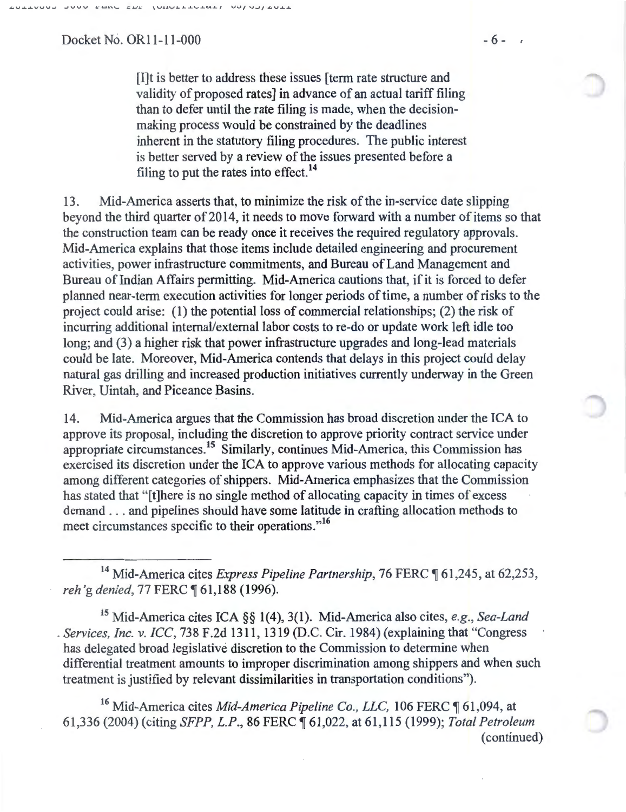Docket No. OR11-11-000 - 6 - 6

[I]t is better to address these issues [term rate structure and validity of proposed rates] in advance of an actual tariff filing than to defer until the rate filing is made, when the decisionmaking process would be constrained by the deadlines inherent in the statutory filing procedures. The public interest is better served by a review of the issues presented before a filing to put the rates into effect.<sup>14</sup>

13. Mid-America asserts that, to minimize the risk of the in-service date slipping beyond the third quarter of 2014, it needs to move forward with a number of items so that the construction team can be ready once it receives the required regulatory approvals. Mid-America explains that those items include detailed engineering and procurement activities, power infrastructure commitments, and Bureau of Land Management and Bureau of Indian Affairs permitting. Mid-America cautions that, if it is forced to defer planned near-term execution activities for longer periods of time, a number of risks to the project could arise: (1) the potential loss of commercial relationships; (2) the risk of incurring additional internal/external labor costs to re-do or update work left idle too long; and (3) a higher risk that power infrastructure upgrades and long-lead materials could be late. Moreover, Mid-America contends that delays in this project could delay natural gas drilling and increased production initiatives currently underway in the Green River, Uintah, and Piceance Basins.

14. Mid-America argues that the Commission has broad discretion under the ICA to approve its proposal, including the discretion to approve priority contract service under appropriate circumstances.15 Similarly, continues Mid-America, this Commission has exercised its discretion under the ICA to approve various methods for allocating capacity among different categories of shippers. Mid-America emphasizes that the Commission has stated that "[t]here is no single method of allocating capacity in times of excess demand . . . and pipelines should have some latitude in crafting allocation methods to meet circumstances specific to their operations."<sup>16</sup>

<sup>14</sup> Mid-America cites *Express Pipeline Partnership*, 76 FERC ¶ 61,245, at 62,253, *reh* 'g *denied,* 77 FERC ~ 61,1 88 ( 1996).

15 Mid-America cites ICA §§ 1(4), 3(1). Mid-America also cites, *e.g., Sea-Land*  . *Services, Inc.* v. *ICC,* 738 F.2d 1311 , 1319 (D.C. Cir. 1984) (explaining that "Congress has delegated broad legislative discretion to the Commission to determine when differential treatment amounts to improper discrimination among shippers and when such treatment is justified by relevant dissimilarities in transportation conditions").

<sup>16</sup> Mid-America cites *Mid-America Pipeline Co., LLC,* 106 FERC ¶ 61,094, at 61 ,336 (2004) (citing *SFPP, L.P.,* 86 FERC ~ 61,022, at 61,115 (1999); *Total Petroleum*  (continued)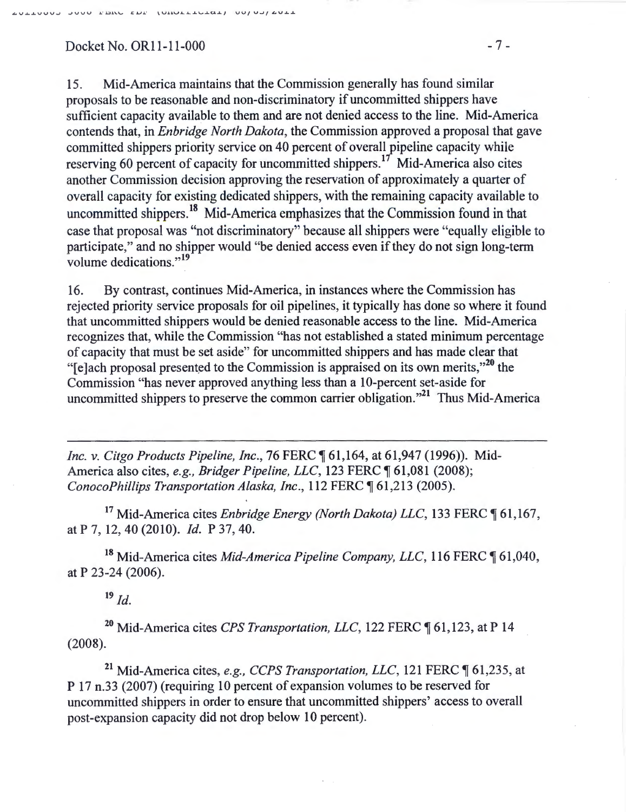### Docket No. OR11-11-000 - 7 -

15. Mid-America maintains that the Commission generally has found similar proposals to be reasonable and non-discriminatory if uncommitted shippers have sufficient capacity available to them and are not denied access to the line. Mid-America contends that, in *Enbridge North Dakota,* the Commission approved a proposal that gave committed shippers priority service on 40 percent of overall pipeline capacity while reserving 60 percent of capacity for uncommitted shippers.<sup>17</sup> Mid-America also cites another Commission decision approving the reservation of approximately a quarter of overall capacity for existing dedicated shippers, with the remaining capacity available to uncommitted shippers.<sup>18</sup> Mid-America emphasizes that the Commission found in that case that proposal was "not discriminatory" because all shippers were "equally eligible to participate," and no shipper would "be denied access even if they do not sign long-term volume dedications."<sup>19</sup>

16. By contrast, continues Mid-America, in instances where the Commission has rejected priority service proposals for oil pipelines, it typically has done so where it found that uncommitted shippers would be denied reasonable access to the line. Mid-America recognizes that, while the Commission "has not established a stated minimum percentage of capacity that must be set aside" for uncommitted shippers and has made clear that "[e]ach proposal presented to the Commission is appraised on its own merits,"<sup>20</sup> the Commission "has never approved anything less than a 10-percent set-aside for uncommitted shippers to preserve the common carrier obligation."21 Thus Mid-America

*Inc. v. Citgo Products Pipeline, Inc., 76 FERC*  $\llbracket 61,164, at 61,947 (1996)$ . Mid-America also cites, *e.g., Bridger Pipeline, LLC*, 123 FERC ¶ 61,081 (2008); *ConocoPhillips Transportation Alaska, Inc., 112 FERC* 161,213 (2005).

<sup>17</sup> Mid-America cites *Enbridge Energy (North Dakota) LLC*, 133 FERC 161,167, at P 7, 12, 40 (2010). *Id.* P 37, 40.

<sup>18</sup> Mid-America cites *Mid-America Pipeline Company, LLC*, 116 FERC ¶ 61,040, at P 23-24 (2006).

 $19$  *Id.* 

<sup>20</sup> Mid-America cites *CPS Transportation, LLC*, 122 FERC ¶ 61,123, at P 14 (2008).

<sup>21</sup> Mid-America cites, *e.g., CCPS Transportation, LLC*, 121 FERC ¶ 61,235, at P 17 n.33 (2007) (requiring 10 percent of expansion volumes to be reserved for uncommitted shippers in order to ensure that uncommitted shippers' access to overall post-expansion capacity did not drop below 10 percent).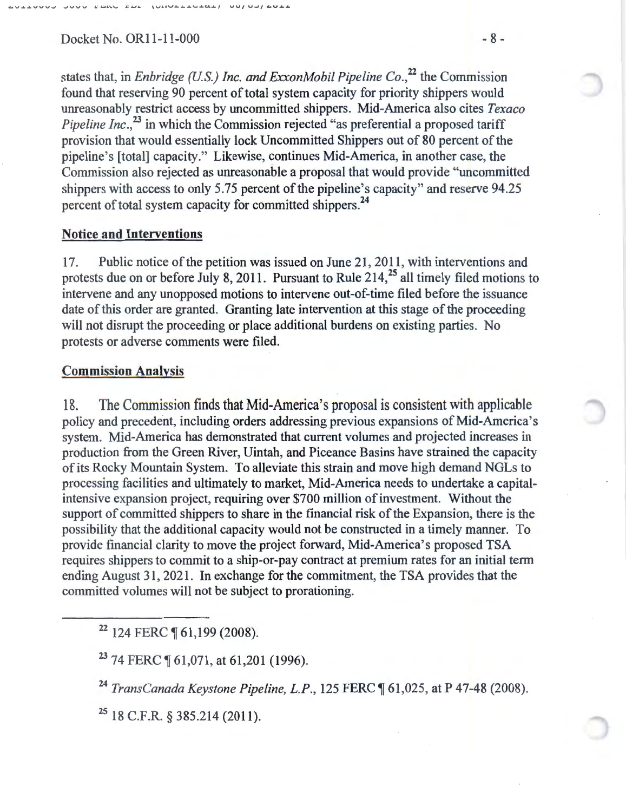$Docket No. OR11-11-000$  - 8 -

states that, in *Enbridge (U.S.) Inc. and ExxonMobil Pipeline Co.*<sup>22</sup> the Commission found that reserving 90 percent of total system capacity for priority shippers would unreasonably restrict access by uncommitted shippers. Mid-America also cites *Texaco Pipeline Inc.*,<sup>23</sup> in which the Commission rejected "as preferential a proposed tariff provision that would essentially lock Uncommitted Shippers out of 80 percent of the pipeline's [total] capacity." Likewise, continues Mid-America, in another case, the Commission also rejected as unreasonable a proposal that would provide "uncommitted shippers with access to only 5.75 percent of the pipeline's capacity" and reserve 94.25 percent of total system capacity for committed shippers.<sup>24</sup>

### Notice and Interventions

17. Public notice of the petition was issued on June 21, 2011, with interventions and protests due on or before July 8, 2011. Pursuant to Rule  $214<sup>25</sup>$  all timely filed motions to intervene and any unopposed motions to intervene out-of-time filed before the issuance date of this order are granted. Granting late intervention at this stage of the proceeding will not disrupt the proceeding or place additional burdens on existing parties. No protests or adverse comments were filed.

### Commission Analysis

18. The Commission finds that Mid-America's proposal is consistent with applicable policy and precedent, including orders addressing previous expansions of Mid-America's system. Mid-America has demonstrated that current volumes and projected increases in production from the Green River, Uintah, and Piceance Basins have strained the capacity of its Rocky Mountain System. To alleviate this strain and move high demand NGLs to processing facilities and ultimately to market, Mid-America needs to undertake a capitalintensive expansion project, requiring over \$700 million of investment. Without the support of committed shippers to share in the financial risk of the Expansion, there is the possibility that the additional capacity would not be constructed in a timely manner. To provide financial clarity to move the project forward, Mid-America's proposed TSA requires shippers to commit to a ship-or-pay contract at premium rates for an initial term ending August 31, 2021. In exchange for the commitment, the TSA provides that the committed volumes will not be subject to prorationing.

<sup>22</sup> 124 FERC **[61,199 (2008)**.

 $23$  74 FERC  $\P$  61,071, at 61,201 (1996).

<sup>24</sup> TransCanada Keystone Pipeline, L.P., 125 FERC ¶ 61,025, at P 47-48 (2008).

25 18 C.P.R. § 385.214 (2011).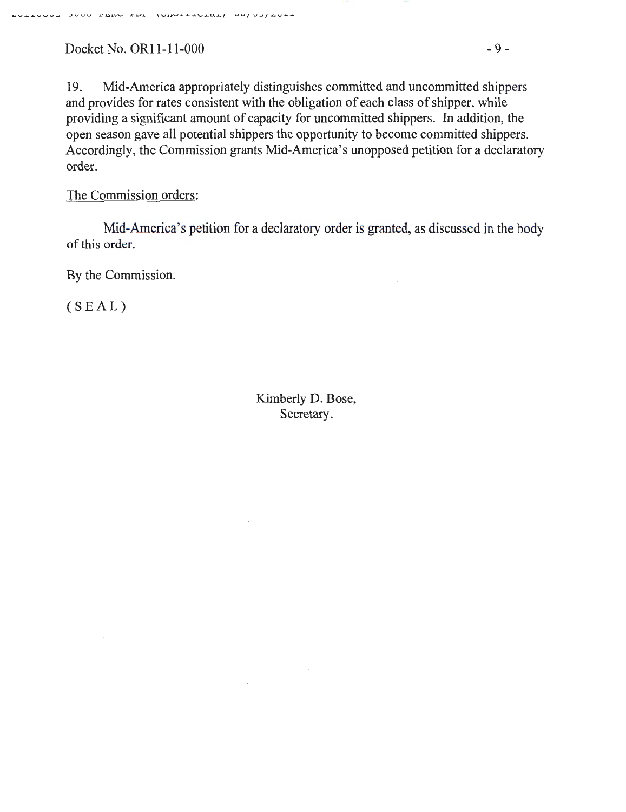Docket No. OR11-11-000 - 9 -

19. Mid-America appropriately distinguishes committed and uncommitted shippers and provides for rates consistent with the obligation of each class of shipper, while providing a significant amount of capacity for uncommitted shippers. In addition, the open season gave all potential shippers the opportunity to become committed shippers. Accordingly, the Commission grants Mid-America's unopposed petition for a declaratory order.

### The Commission orders:

Mid-America's petition for a declaratory order is granted, as discussed in the body of this order.

By the Commission.

 $(SEAL)$ 

Kimberly D. Bose, Secretary.